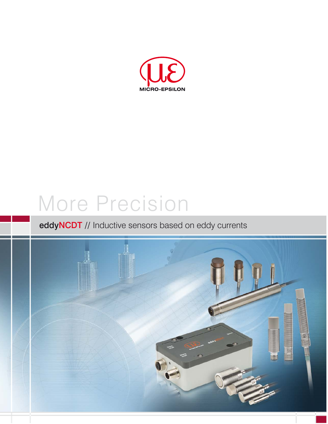

# More Precision

# eddyNCDT // Inductive sensors based on eddy currents

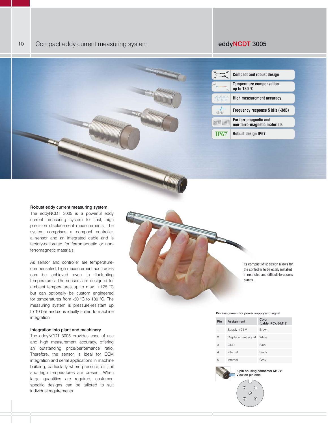| ٠٨                | <b>Compact and robust design</b>                         |
|-------------------|----------------------------------------------------------|
| um'               | <b>Temperature compensation</b><br>up to 180 $\degree$ C |
|                   | High measurement accuracy                                |
|                   | Frequency response 5 kHz (-3dB)                          |
| <b>St 37</b><br>A | For ferromagnetic and<br>non-ferro-magnetic materials    |
| <b>IP67</b>       | <b>Robust design IP67</b>                                |

### Robust eddy current measuring system

The eddyNCDT 3005 is a powerful eddy current measuring system for fast, high precision displacement measurements. The system comprises a compact controller, a sensor and an integrated cable and is factory-calibrated for ferromagnetic or nonferromagnetic materials.

As sensor and controller are temperaturecompensated, high measurement accuracies can be achieved even in fluctuating temperatures. The sensors are designed for ambient temperatures up to max. +125 °C but can optionally be custom engineered for temperatures from -30 °C to 180 °C. The measuring system is pressure-resistant up to 10 bar and so is ideally suited to machine integration.

## Integration into plant and machinery

The eddyNCDT 3005 provides ease of use and high measurement accuracy, offering an outstanding price/performance ratio. Therefore, the sensor is ideal for OEM integration and serial applications in machine building, particularly where pressure, dirt, oil and high temperatures are present. When large quantities are required, customerspecific designs can be tailored to suit individual requirements.

Its compact M12 design allows for the controller to be easily installed in restricted and difficult-to-access places.

#### Pin assignment for power supply and signal

| Pin | Assignment          | Color<br>$(cable: PCx/5-M12)$ |
|-----|---------------------|-------------------------------|
| 1   | Supply $+24$ V      | <b>Brown</b>                  |
| 2   | Displacement signal | White                         |
| 3   | <b>GND</b>          | Blue                          |
| 4   | internal            | <b>Black</b>                  |
| 5   | internal            | Gray                          |

5-pin housing connector M12x1 View on pin side  $\circledcirc$ O.  $\circledS$  $\circled{3}$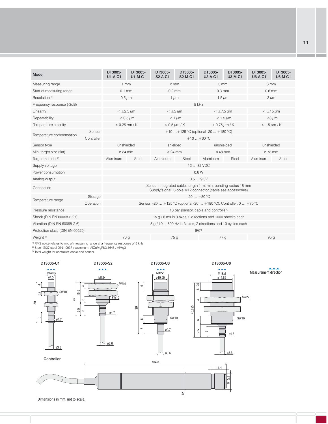| Model                           |                                                          | DT3005-<br>$U1-A-C1$                                                                                                           | DT3005-<br>$U1-M-C1$ | DT3005-<br>S <sub>2</sub> -A-C <sub>1</sub> | DT3005-<br><b>S2-M-C1</b>  | DT3005-<br><b>U3-A-C1</b> | DT3005-<br><b>U3-M-C1</b>   | DT3005-<br>$U6-A-C1$ | DT3005-<br><b>U6-M-C1</b> |  |                            |
|---------------------------------|----------------------------------------------------------|--------------------------------------------------------------------------------------------------------------------------------|----------------------|---------------------------------------------|----------------------------|---------------------------|-----------------------------|----------------------|---------------------------|--|----------------------------|
| Measuring range                 |                                                          | $1 \text{ mm}$                                                                                                                 |                      | $2 \, \text{mm}$                            |                            | 3mm                       |                             | 6 mm                 |                           |  |                            |
| Start of measuring range        |                                                          | $0.1$ mm                                                                                                                       |                      | $0.2$ mm                                    |                            | $0.3$ mm                  |                             | $0.6$ mm             |                           |  |                            |
| Resolution <sup>1)</sup>        |                                                          | $0.5 \,\mu m$                                                                                                                  |                      | $1 \mu m$                                   |                            | $1.5 \mu m$               |                             | $3 \mu m$            |                           |  |                            |
| Frequency response (-3dB)       |                                                          | 5 kHz                                                                                                                          |                      |                                             |                            |                           |                             |                      |                           |  |                            |
| Linearity                       |                                                          | $<\pm2.5 \,\mu m$                                                                                                              |                      | $< \pm 5 \,\mu m$                           |                            | $< \pm 7.5 \,\mu m$       |                             | $< \pm 15 \,\mu m$   |                           |  |                            |
| Repeatability                   |                                                          | $< 0.5 \,\mathrm{\mu m}$                                                                                                       |                      | $< 1 \mu m$                                 |                            | $< 1.5 \,\mu m$           |                             | $<$ 3 $\mu$ m        |                           |  |                            |
| Temperature stability           |                                                          |                                                                                                                                | $< 0.25 \mu m/K$     |                                             | $< 0.5 \,\mathrm{\mu m/K}$ |                           | $< 0.75 \,\mathrm{\mu m/K}$ |                      |                           |  | $< 1.5 \,\mathrm{\mu m/K}$ |
| Temperature compensation        | Sensor                                                   | +10  +125 °C (optional -20  +180 °C)                                                                                           |                      |                                             |                            |                           |                             |                      |                           |  |                            |
|                                 | Controller                                               | $+10+60$ °C                                                                                                                    |                      |                                             |                            |                           |                             |                      |                           |  |                            |
| Sensor type                     |                                                          | unshielded                                                                                                                     |                      | shielded                                    |                            | unshielded                |                             | unshielded           |                           |  |                            |
| Min. target size (flat)         |                                                          | ø 24 mm                                                                                                                        |                      | ø 24 mm                                     |                            | ø 48 mm                   |                             | ø 72 mm              |                           |  |                            |
| Target material <sup>2)</sup>   |                                                          | Aluminum                                                                                                                       | Steel                | Aluminum<br>Steel                           |                            | Aluminum                  | Steel                       | Aluminum             | <b>Steel</b>              |  |                            |
| Supply voltage                  |                                                          | 12  32 VDC                                                                                                                     |                      |                                             |                            |                           |                             |                      |                           |  |                            |
| Power consumption               |                                                          | 0.6W                                                                                                                           |                      |                                             |                            |                           |                             |                      |                           |  |                            |
| Analog output                   | 0.59.5V                                                  |                                                                                                                                |                      |                                             |                            |                           |                             |                      |                           |  |                            |
| Connection                      |                                                          | Sensor: integrated cable, length 1 m, min. bending radius 18 mm<br>Supply/signal: 5-pole M12 connector (cable see accessories) |                      |                                             |                            |                           |                             |                      |                           |  |                            |
|                                 | Storage                                                  | $-20+80$ °C                                                                                                                    |                      |                                             |                            |                           |                             |                      |                           |  |                            |
| Temperature range               | Operation                                                | Sensor: -20  +125 °C (optional -20  +180 °C), Controller: 0  +70 °C                                                            |                      |                                             |                            |                           |                             |                      |                           |  |                            |
| Pressure resistance             |                                                          | 10 bar (sensor, cable and controller)                                                                                          |                      |                                             |                            |                           |                             |                      |                           |  |                            |
| Shock (DIN EN 60068-2-27)       | 15 g / 6 ms in 3 axes, 2 directions and 1000 shocks each |                                                                                                                                |                      |                                             |                            |                           |                             |                      |                           |  |                            |
| Vibration (DIN EN 60068-2-6)    |                                                          | 5 g / 10  500 Hz in 3 axes, 2 directions and 10 cycles each                                                                    |                      |                                             |                            |                           |                             |                      |                           |  |                            |
| Protection class (DIN EN 60529) |                                                          | <b>IP67</b>                                                                                                                    |                      |                                             |                            |                           |                             |                      |                           |  |                            |
| Weight <sup>3)</sup>            |                                                          |                                                                                                                                | 70 <sub>g</sub>      | 75g                                         |                            | 77 <sub>g</sub>           |                             | 95 <sub>g</sub>      |                           |  |                            |

<sup>1)</sup> RMS noise relates to mid of measuring range at a frequency response of 5 kHz<br><sup>2)</sup> Steel: St37 steel DIN1.0037 / aluminum: AlCuMgPb3.1645 / AlMg3

<sup>3)</sup> Total weight for controller, cable and sensor



11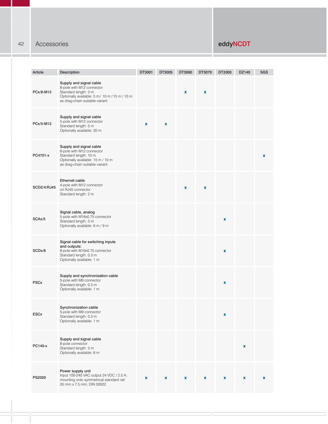## 42 Accessories eddyNCDT

| Article     | Description                                                                                                                                                     | DT3001       | DT3005      | DT3060 | DT3070             | DT3300      | DZ140 | <b>SGS</b>         |
|-------------|-----------------------------------------------------------------------------------------------------------------------------------------------------------------|--------------|-------------|--------|--------------------|-------------|-------|--------------------|
| PCx/8-M12   | Supply and signal cable<br>8-pole with M12 connector<br>Standard length: 3 m<br>Optionally available: 5 m/ 10 m / 15 m / 10 m<br>as drag-chain suitable variant |              |             | x      | $\pmb{\mathsf{x}}$ |             |       |                    |
| PCx/5-M12   | Supply and signal cable<br>5-pole with M12 connector<br>Standard length: 5 m<br>Optionally available: 20 m                                                      | $\mathbf{x}$ | $\mathbf x$ |        |                    |             |       |                    |
| PC4701-x    | Supply and signal cable<br>8-pole with M12 connector<br>Standard length: 10 m<br>Optionally available: 15 m / 10 m<br>as drag-chain suitable variant            |              |             |        |                    |             |       | $\pmb{\mathsf{x}}$ |
| SCD2/4/RJ45 | <b>Ethernet cable</b><br>4-pole with M12 connector<br>on RJ45 connector<br>Standard length: 2 m                                                                 |              |             | X      | $\pmb{\mathsf{x}}$ |             |       |                    |
| SCAx/5      | Signal cable, analog<br>5-pole with M16x0.75 connector<br>Standard length: 3 m<br>Optionally available: 6 m / 9 m                                               |              |             |        |                    | $\mathbf x$ |       |                    |
| SCDx/8      | Signal cable for switching inputs<br>and outputs:<br>8-pole with M16x0.75 connector<br>Standard length: 0.3 m<br>Optionally available: 1 m                      |              |             |        |                    | $\mathbf x$ |       |                    |
| <b>PSCx</b> | Supply and synchronization cable<br>5-pole with M9 connector<br>Standard length: 0.3 m<br>Optionally available: 1 m                                             |              |             |        |                    | $\mathbf x$ |       |                    |
| <b>ESCx</b> | Synchronization cable<br>5-pole with M9 connector<br>Standard length: 0.3 m<br>Optionally available: 1 m                                                        |              |             |        |                    | x           |       |                    |
| PC140-x     | Supply and signal cable<br>8-pole connector<br>Standard length: 3 m<br>Optionally available: 6 m                                                                |              |             |        |                    |             | x     |                    |
| PS2020      | Power supply unit<br>Input 100-240 VAC output 24 VDC / 2.5 A;<br>mounting onto symmetrical standard rail<br>35 mm x 7.5 mm, DIN 50022                           | x            | x           | x      | x                  | x           | x     | $\pmb{\mathsf{x}}$ |